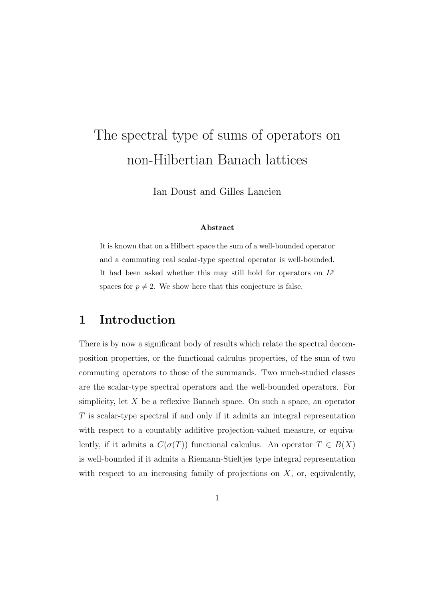# The spectral type of sums of operators on non-Hilbertian Banach lattices

Ian Doust and Gilles Lancien

#### Abstract

It is known that on a Hilbert space the sum of a well-bounded operator and a commuting real scalar-type spectral operator is well-bounded. It had been asked whether this may still hold for operators on  $L^p$ spaces for  $p \neq 2$ . We show here that this conjecture is false.

## 1 Introduction

There is by now a significant body of results which relate the spectral decomposition properties, or the functional calculus properties, of the sum of two commuting operators to those of the summands. Two much-studied classes are the scalar-type spectral operators and the well-bounded operators. For simplicity, let  $X$  be a reflexive Banach space. On such a space, an operator T is scalar-type spectral if and only if it admits an integral representation with respect to a countably additive projection-valued measure, or equivalently, if it admits a  $C(\sigma(T))$  functional calculus. An operator  $T \in B(X)$ is well-bounded if it admits a Riemann-Stieltjes type integral representation with respect to an increasing family of projections on  $X$ , or, equivalently,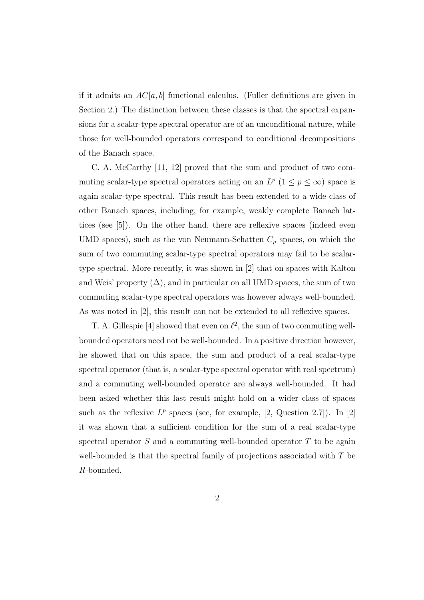if it admits an  $AC[a, b]$  functional calculus. (Fuller definitions are given in Section 2.) The distinction between these classes is that the spectral expansions for a scalar-type spectral operator are of an unconditional nature, while those for well-bounded operators correspond to conditional decompositions of the Banach space.

C. A. McCarthy [11, 12] proved that the sum and product of two commuting scalar-type spectral operators acting on an  $L^p$   $(1 \leq p \leq \infty)$  space is again scalar-type spectral. This result has been extended to a wide class of other Banach spaces, including, for example, weakly complete Banach lattices (see [5]). On the other hand, there are reflexive spaces (indeed even UMD spaces), such as the von Neumann-Schatten  $C_p$  spaces, on which the sum of two commuting scalar-type spectral operators may fail to be scalartype spectral. More recently, it was shown in [2] that on spaces with Kalton and Weis' property  $(\Delta)$ , and in particular on all UMD spaces, the sum of two commuting scalar-type spectral operators was however always well-bounded. As was noted in [2], this result can not be extended to all reflexive spaces.

T. A. Gillespie [4] showed that even on  $\ell^2$ , the sum of two commuting wellbounded operators need not be well-bounded. In a positive direction however, he showed that on this space, the sum and product of a real scalar-type spectral operator (that is, a scalar-type spectral operator with real spectrum) and a commuting well-bounded operator are always well-bounded. It had been asked whether this last result might hold on a wider class of spaces such as the reflexive  $L^p$  spaces (see, for example, [2, Question 2.7]). In [2] it was shown that a sufficient condition for the sum of a real scalar-type spectral operator  $S$  and a commuting well-bounded operator  $T$  to be again well-bounded is that the spectral family of projections associated with T be R-bounded.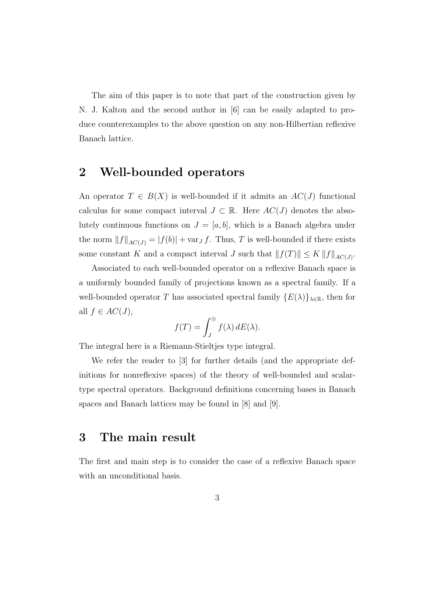The aim of this paper is to note that part of the construction given by N. J. Kalton and the second author in [6] can be easily adapted to produce counterexamples to the above question on any non-Hilbertian reflexive Banach lattice.

# 2 Well-bounded operators

An operator  $T \in B(X)$  is well-bounded if it admits an  $AC(J)$  functional calculus for some compact interval  $J \subset \mathbb{R}$ . Here  $AC(J)$  denotes the absolutely continuous functions on  $J = [a, b]$ , which is a Banach algebra under the norm  $||f||_{AC(J)} = |f(b)| + \text{var}_J f$ . Thus, T is well-bounded if there exists some constant K and a compact interval J such that  $|| f(T) || \leq K ||f||_{AC(J)}$ .

Associated to each well-bounded operator on a reflexive Banach space is a uniformly bounded family of projections known as a spectral family. If a well-bounded operator T has associated spectral family  $\{E(\lambda)\}_{\lambda\in\mathbb{R}}$ , then for all  $f \in AC(J)$ ,

$$
f(T) = \int_J^{\oplus} f(\lambda) \, dE(\lambda).
$$

The integral here is a Riemann-Stieltjes type integral.

We refer the reader to [3] for further details (and the appropriate definitions for nonreflexive spaces) of the theory of well-bounded and scalartype spectral operators. Background definitions concerning bases in Banach spaces and Banach lattices may be found in [8] and [9].

## 3 The main result

The first and main step is to consider the case of a reflexive Banach space with an unconditional basis.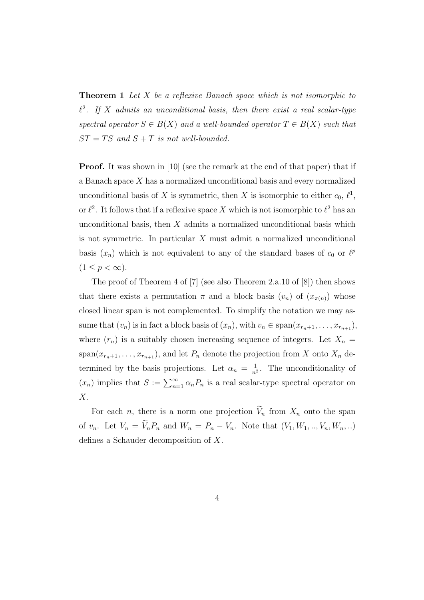**Theorem 1** Let X be a reflexive Banach space which is not isomorphic to  $\ell^2$ . If X admits an unconditional basis, then there exist a real scalar-type spectral operator  $S \in B(X)$  and a well-bounded operator  $T \in B(X)$  such that  $ST = TS$  and  $S + T$  is not well-bounded.

Proof. It was shown in [10] (see the remark at the end of that paper) that if a Banach space X has a normalized unconditional basis and every normalized unconditional basis of X is symmetric, then X is isomorphic to either  $c_0, \ell^1$ , or  $\ell^2$ . It follows that if a reflexive space X which is not isomorphic to  $\ell^2$  has an unconditional basis, then  $X$  admits a normalized unconditional basis which is not symmetric. In particular X must admit a normalized unconditional basis  $(x_n)$  which is not equivalent to any of the standard bases of  $c_0$  or  $\ell^p$  $(1 \leq p < \infty).$ 

The proof of Theorem 4 of [7] (see also Theorem 2.a.10 of [8]) then shows that there exists a permutation  $\pi$  and a block basis  $(v_n)$  of  $(x_{\pi(n)})$  whose closed linear span is not complemented. To simplify the notation we may assume that  $(v_n)$  is in fact a block basis of  $(x_n)$ , with  $v_n \in \text{span}(x_{r_n+1}, \ldots, x_{r_{n+1}})$ , where  $(r_n)$  is a suitably chosen increasing sequence of integers. Let  $X_n =$ span $(x_{r_n+1}, \ldots, x_{r_{n+1}})$ , and let  $P_n$  denote the projection from X onto  $X_n$  determined by the basis projections. Let  $\alpha_n = \frac{1}{n^2}$  $\frac{1}{n^2}$ . The unconditionality of  $(x_n)$  implies that  $S := \sum_{n=1}^{\infty} \alpha_n P_n$  is a real scalar-type spectral operator on  $X$ .

For each *n*, there is a norm one projection  $\widetilde{V}_n$  from  $X_n$  onto the span of  $v_n$ . Let  $V_n = \widetilde{V}_n P_n$  and  $W_n = P_n - V_n$ . Note that  $(V_1, W_1, \ldots, V_n, W_n, \ldots)$ defines a Schauder decomposition of X.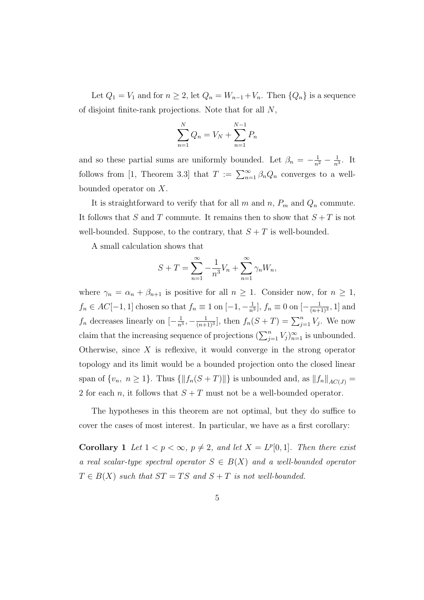Let  $Q_1 = V_1$  and for  $n \geq 2$ , let  $Q_n = W_{n-1} + V_n$ . Then  $\{Q_n\}$  is a sequence of disjoint finite-rank projections. Note that for all N,

$$
\sum_{n=1}^{N} Q_n = V_N + \sum_{n=1}^{N-1} P_n
$$

and so these partial sums are uniformly bounded. Let  $\beta_n = -\frac{1}{n^2} - \frac{1}{n^2}$  $\frac{1}{n^3}$ . It follows from [1, Theorem 3.3] that  $T := \sum_{n=1}^{\infty} \beta_n Q_n$  converges to a wellbounded operator on X.

It is straightforward to verify that for all m and n,  $P_m$  and  $Q_n$  commute. It follows that S and T commute. It remains then to show that  $S + T$  is not well-bounded. Suppose, to the contrary, that  $S + T$  is well-bounded.

A small calculation shows that

$$
S + T = \sum_{n=1}^{\infty} -\frac{1}{n^3}V_n + \sum_{n=1}^{\infty} \gamma_n W_n,
$$

where  $\gamma_n = \alpha_n + \beta_{n+1}$  is positive for all  $n \geq 1$ . Consider now, for  $n \geq 1$ ,  $f_n \in AC[-1,1]$  chosen so that  $f_n \equiv 1$  on  $[-1,-\frac{1}{n}]$  $\frac{1}{n^3}$ ,  $f_n \equiv 0$  on  $\left[-\frac{1}{(n+1)}\right]$  $\frac{1}{(n+1)^3}$ , 1 and  $f_n$  decreases linearly on  $\left[-\frac{1}{n^2}\right]$  $\frac{1}{n^3}, -\frac{1}{(n+1)}$  $\frac{1}{(n+1)^3}$ , then  $f_n(S+T) = \sum_{j=1}^n V_j$ . We now claim that the increasing sequence of projections  $(\sum_{j=1}^n V_j)_{n=1}^{\infty}$  is unbounded. Otherwise, since  $X$  is reflexive, it would converge in the strong operator topology and its limit would be a bounded projection onto the closed linear span of  $\{v_n, n \geq 1\}$ . Thus  $\{\|f_n(S + T)\|\}$  is unbounded and, as  $\|f_n\|_{AC(J)} =$ 2 for each n, it follows that  $S + T$  must not be a well-bounded operator.

The hypotheses in this theorem are not optimal, but they do suffice to cover the cases of most interest. In particular, we have as a first corollary:

**Corollary 1** Let  $1 < p < \infty$ ,  $p \neq 2$ , and let  $X = L^p[0, 1]$ . Then there exist a real scalar-type spectral operator  $S \in B(X)$  and a well-bounded operator  $T \in B(X)$  such that  $ST = TS$  and  $S + T$  is not well-bounded.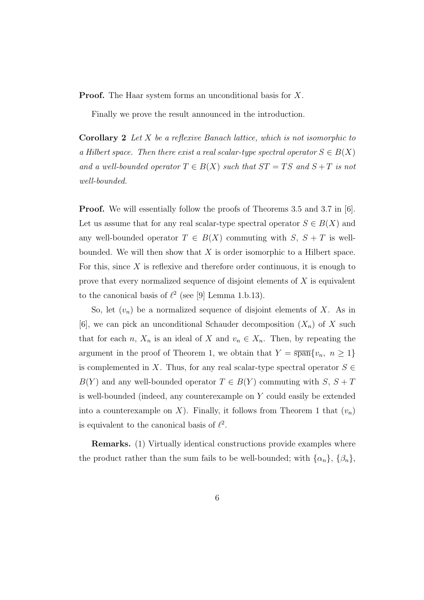**Proof.** The Haar system forms an unconditional basis for X.

Finally we prove the result announced in the introduction.

**Corollary 2** Let X be a reflexive Banach lattice, which is not isomorphic to a Hilbert space. Then there exist a real scalar-type spectral operator  $S \in B(X)$ and a well-bounded operator  $T \in B(X)$  such that  $ST = TS$  and  $S + T$  is not well-bounded.

**Proof.** We will essentially follow the proofs of Theorems 3.5 and 3.7 in [6]. Let us assume that for any real scalar-type spectral operator  $S \in B(X)$  and any well-bounded operator  $T \in B(X)$  commuting with  $S, S + T$  is wellbounded. We will then show that  $X$  is order isomorphic to a Hilbert space. For this, since  $X$  is reflexive and therefore order continuous, it is enough to prove that every normalized sequence of disjoint elements of  $X$  is equivalent to the canonical basis of  $\ell^2$  (see [9] Lemma 1.b.13).

So, let  $(v_n)$  be a normalized sequence of disjoint elements of X. As in [6], we can pick an unconditional Schauder decomposition  $(X_n)$  of X such that for each n,  $X_n$  is an ideal of X and  $v_n \in X_n$ . Then, by repeating the argument in the proof of Theorem 1, we obtain that  $Y = \overline{\text{span}}\{v_n, n \geq 1\}$ is complemented in X. Thus, for any real scalar-type spectral operator  $S \in$  $B(Y)$  and any well-bounded operator  $T \in B(Y)$  commuting with  $S, S + T$ is well-bounded (indeed, any counterexample on Y could easily be extended into a counterexample on X). Finally, it follows from Theorem 1 that  $(v_n)$ is equivalent to the canonical basis of  $\ell^2$ .

Remarks. (1) Virtually identical constructions provide examples where the product rather than the sum fails to be well-bounded; with  $\{\alpha_n\}$ ,  $\{\beta_n\}$ ,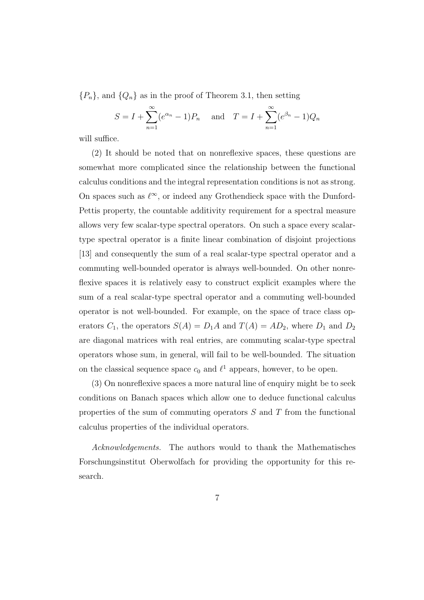$\{P_n\}$ , and  $\{Q_n\}$  as in the proof of Theorem 3.1, then setting

$$
S = I + \sum_{n=1}^{\infty} (e^{\alpha_n} - 1)P_n
$$
 and  $T = I + \sum_{n=1}^{\infty} (e^{\beta_n} - 1)Q_n$ 

will suffice.

(2) It should be noted that on nonreflexive spaces, these questions are somewhat more complicated since the relationship between the functional calculus conditions and the integral representation conditions is not as strong. On spaces such as  $\ell^{\infty}$ , or indeed any Grothendieck space with the Dunford-Pettis property, the countable additivity requirement for a spectral measure allows very few scalar-type spectral operators. On such a space every scalartype spectral operator is a finite linear combination of disjoint projections [13] and consequently the sum of a real scalar-type spectral operator and a commuting well-bounded operator is always well-bounded. On other nonreflexive spaces it is relatively easy to construct explicit examples where the sum of a real scalar-type spectral operator and a commuting well-bounded operator is not well-bounded. For example, on the space of trace class operators  $C_1$ , the operators  $S(A) = D_1 A$  and  $T(A) = AD_2$ , where  $D_1$  and  $D_2$ are diagonal matrices with real entries, are commuting scalar-type spectral operators whose sum, in general, will fail to be well-bounded. The situation on the classical sequence space  $c_0$  and  $\ell^1$  appears, however, to be open.

(3) On nonreflexive spaces a more natural line of enquiry might be to seek conditions on Banach spaces which allow one to deduce functional calculus properties of the sum of commuting operators  $S$  and  $T$  from the functional calculus properties of the individual operators.

Acknowledgements. The authors would to thank the Mathematisches Forschungsinstitut Oberwolfach for providing the opportunity for this research.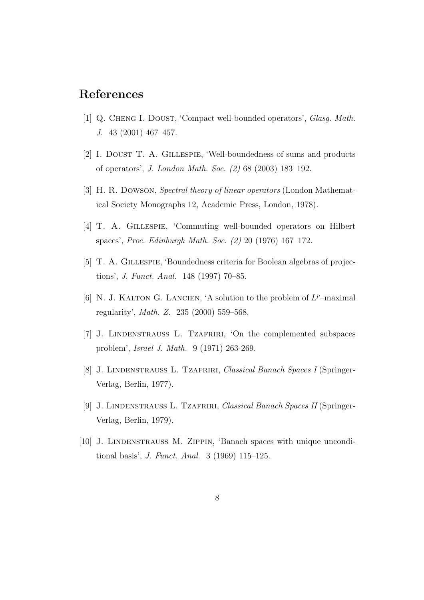# References

- [1] Q. CHENG I. DOUST, 'Compact well-bounded operators', *Glasg. Math.* J. 43 (2001) 467–457.
- [2] I. DOUST T. A. GILLESPIE, 'Well-boundedness of sums and products of operators', J. London Math. Soc. (2) 68 (2003) 183–192.
- [3] H. R. Dowson, Spectral theory of linear operators (London Mathematical Society Monographs 12, Academic Press, London, 1978).
- [4] T. A. Gillespie, 'Commuting well-bounded operators on Hilbert spaces', Proc. Edinburgh Math. Soc. (2) 20 (1976) 167–172.
- [5] T. A. Gillespie, 'Boundedness criteria for Boolean algebras of projections', J. Funct. Anal. 148 (1997) 70–85.
- [6] N. J. KALTON G. LANCIEN, 'A solution to the problem of  $L^p$ -maximal regularity', Math. Z. 235 (2000) 559–568.
- [7] J. Lindenstrauss L. Tzafriri, 'On the complemented subspaces problem', Israel J. Math. 9 (1971) 263-269.
- [8] J. LINDENSTRAUSS L. TZAFRIRI, Classical Banach Spaces I (Springer-Verlag, Berlin, 1977).
- [9] J. Lindenstrauss L. Tzafriri, Classical Banach Spaces II (Springer-Verlag, Berlin, 1979).
- [10] J. LINDENSTRAUSS M. ZIPPIN, 'Banach spaces with unique unconditional basis', J. Funct. Anal. 3 (1969) 115–125.